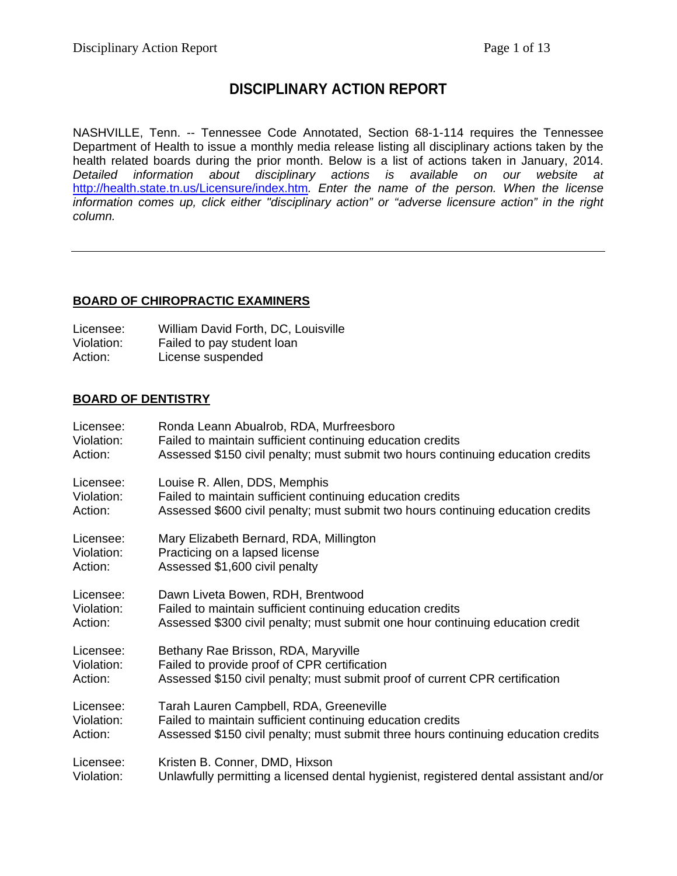# **DISCIPLINARY ACTION REPORT**

NASHVILLE, Tenn. -- Tennessee Code Annotated, Section 68-1-114 requires the Tennessee Department of Health to issue a monthly media release listing all disciplinary actions taken by the health related boards during the prior month. Below is a list of actions taken in January, 2014. *Detailed information about disciplinary actions is available on our website at*  <http://health.state.tn.us/Licensure/index.htm>*. Enter the name of the person. When the license information comes up, click either "disciplinary action" or "adverse licensure action" in the right column.*

## **BOARD OF CHIROPRACTIC EXAMINERS**

| Licensee:  | William David Forth, DC, Louisville |
|------------|-------------------------------------|
| Violation: | Failed to pay student loan          |
| Action:    | License suspended                   |

### **BOARD OF DENTISTRY**

| Licensee:  | Ronda Leann Abualrob, RDA, Murfreesboro                                               |
|------------|---------------------------------------------------------------------------------------|
| Violation: | Failed to maintain sufficient continuing education credits                            |
| Action:    | Assessed \$150 civil penalty; must submit two hours continuing education credits      |
| Licensee:  | Louise R. Allen, DDS, Memphis                                                         |
| Violation: | Failed to maintain sufficient continuing education credits                            |
| Action:    | Assessed \$600 civil penalty; must submit two hours continuing education credits      |
| Licensee:  | Mary Elizabeth Bernard, RDA, Millington                                               |
| Violation: | Practicing on a lapsed license                                                        |
| Action:    | Assessed \$1,600 civil penalty                                                        |
| Licensee:  | Dawn Liveta Bowen, RDH, Brentwood                                                     |
| Violation: | Failed to maintain sufficient continuing education credits                            |
| Action:    | Assessed \$300 civil penalty; must submit one hour continuing education credit        |
| Licensee:  | Bethany Rae Brisson, RDA, Maryville                                                   |
| Violation: | Failed to provide proof of CPR certification                                          |
| Action:    | Assessed \$150 civil penalty; must submit proof of current CPR certification          |
| Licensee:  | Tarah Lauren Campbell, RDA, Greeneville                                               |
| Violation: | Failed to maintain sufficient continuing education credits                            |
| Action:    | Assessed \$150 civil penalty; must submit three hours continuing education credits    |
| Licensee:  | Kristen B. Conner, DMD, Hixson                                                        |
| Violation: | Unlawfully permitting a licensed dental hygienist, registered dental assistant and/or |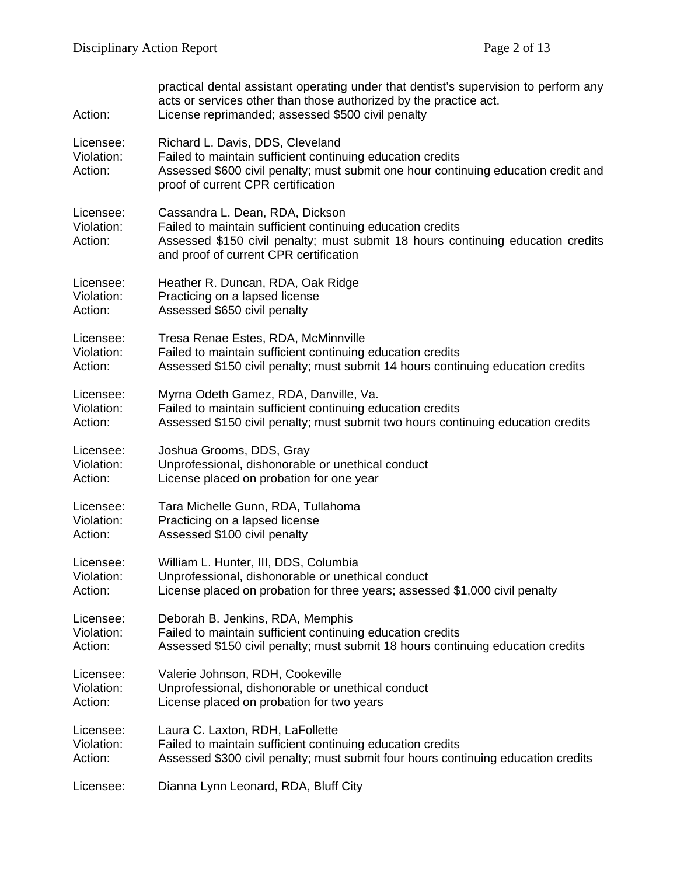| Action:                            | practical dental assistant operating under that dentist's supervision to perform any<br>acts or services other than those authorized by the practice act.<br>License reprimanded; assessed \$500 civil penalty             |
|------------------------------------|----------------------------------------------------------------------------------------------------------------------------------------------------------------------------------------------------------------------------|
| Licensee:<br>Violation:<br>Action: | Richard L. Davis, DDS, Cleveland<br>Failed to maintain sufficient continuing education credits<br>Assessed \$600 civil penalty; must submit one hour continuing education credit and<br>proof of current CPR certification |
| Licensee:<br>Violation:<br>Action: | Cassandra L. Dean, RDA, Dickson<br>Failed to maintain sufficient continuing education credits<br>Assessed \$150 civil penalty; must submit 18 hours continuing education credits<br>and proof of current CPR certification |
| Licensee:                          | Heather R. Duncan, RDA, Oak Ridge                                                                                                                                                                                          |
| Violation:                         | Practicing on a lapsed license                                                                                                                                                                                             |
| Action:                            | Assessed \$650 civil penalty                                                                                                                                                                                               |
| Licensee:                          | Tresa Renae Estes, RDA, McMinnville                                                                                                                                                                                        |
| Violation:                         | Failed to maintain sufficient continuing education credits                                                                                                                                                                 |
| Action:                            | Assessed \$150 civil penalty; must submit 14 hours continuing education credits                                                                                                                                            |
| Licensee:                          | Myrna Odeth Gamez, RDA, Danville, Va.                                                                                                                                                                                      |
| Violation:                         | Failed to maintain sufficient continuing education credits                                                                                                                                                                 |
| Action:                            | Assessed \$150 civil penalty; must submit two hours continuing education credits                                                                                                                                           |
| Licensee:                          | Joshua Grooms, DDS, Gray                                                                                                                                                                                                   |
| Violation:                         | Unprofessional, dishonorable or unethical conduct                                                                                                                                                                          |
| Action:                            | License placed on probation for one year                                                                                                                                                                                   |
| Licensee:                          | Tara Michelle Gunn, RDA, Tullahoma                                                                                                                                                                                         |
| Violation:                         | Practicing on a lapsed license                                                                                                                                                                                             |
| Action:                            | Assessed \$100 civil penalty                                                                                                                                                                                               |
| Licensee:                          | William L. Hunter, III, DDS, Columbia                                                                                                                                                                                      |
| Violation:                         | Unprofessional, dishonorable or unethical conduct                                                                                                                                                                          |
| Action:                            | License placed on probation for three years; assessed \$1,000 civil penalty                                                                                                                                                |
| Licensee:                          | Deborah B. Jenkins, RDA, Memphis                                                                                                                                                                                           |
| Violation:                         | Failed to maintain sufficient continuing education credits                                                                                                                                                                 |
| Action:                            | Assessed \$150 civil penalty; must submit 18 hours continuing education credits                                                                                                                                            |
| Licensee:                          | Valerie Johnson, RDH, Cookeville                                                                                                                                                                                           |
| Violation:                         | Unprofessional, dishonorable or unethical conduct                                                                                                                                                                          |
| Action:                            | License placed on probation for two years                                                                                                                                                                                  |
| Licensee:                          | Laura C. Laxton, RDH, LaFollette                                                                                                                                                                                           |
| Violation:                         | Failed to maintain sufficient continuing education credits                                                                                                                                                                 |
| Action:                            | Assessed \$300 civil penalty; must submit four hours continuing education credits                                                                                                                                          |
| Licensee:                          | Dianna Lynn Leonard, RDA, Bluff City                                                                                                                                                                                       |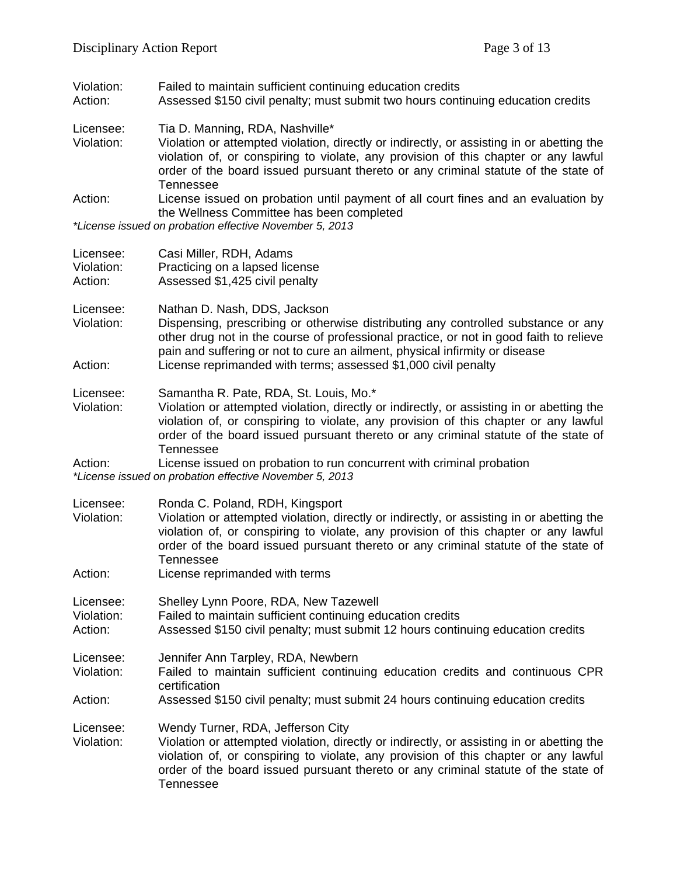Violation: Failed to maintain sufficient continuing education credits<br>Action: Assessed \$150 civil penalty: must submit two hours cont

Assessed \$150 civil penalty; must submit two hours continuing education credits

- Licensee: Tia D. Manning, RDA, Nashville\*
- Violation: Violation or attempted violation, directly or indirectly, or assisting in or abetting the violation of, or conspiring to violate, any provision of this chapter or any lawful order of the board issued pursuant thereto or any criminal statute of the state of Tennessee
- Action: License issued on probation until payment of all court fines and an evaluation by the Wellness Committee has been completed

*\*License issued on probation effective November 5, 2013*

| Licensee:<br>Violation:<br>Action: | Casi Miller, RDH, Adams<br>Practicing on a lapsed license<br>Assessed \$1,425 civil penalty                                                                                                                                                                                                |
|------------------------------------|--------------------------------------------------------------------------------------------------------------------------------------------------------------------------------------------------------------------------------------------------------------------------------------------|
| Licensee:<br>Violation:            | Nathan D. Nash, DDS, Jackson<br>Dispensing, prescribing or otherwise distributing any controlled substance or any<br>other drug not in the course of professional practice, or not in good faith to relieve<br>pain and suffering or not to cure an ailment, physical infirmity or disease |
| Action:                            | License reprimanded with terms; assessed \$1,000 civil penalty                                                                                                                                                                                                                             |
| Licensee:                          | Samantha R. Pate, RDA, St. Louis, Mo.*                                                                                                                                                                                                                                                     |
| Violation:                         | Violation or attempted violation, directly or indirectly, or assisting in or abetting the<br>violation of, or conspiring to violate, any provision of this chapter or any lawful<br>order of the board issued pursuant thereto or any criminal statute of the state of<br>Tennessee        |
| Action:                            | License issued on probation to run concurrent with criminal probation                                                                                                                                                                                                                      |

*\*License issued on probation effective November 5, 2013*

| Licensee:<br>Violation:<br>Action: | Ronda C. Poland, RDH, Kingsport<br>Violation or attempted violation, directly or indirectly, or assisting in or abetting the<br>violation of, or conspiring to violate, any provision of this chapter or any lawful<br>order of the board issued pursuant thereto or any criminal statute of the state of<br>Tennessee<br>License reprimanded with terms |
|------------------------------------|----------------------------------------------------------------------------------------------------------------------------------------------------------------------------------------------------------------------------------------------------------------------------------------------------------------------------------------------------------|
| Licensee:<br>Violation:<br>Action: | Shelley Lynn Poore, RDA, New Tazewell<br>Failed to maintain sufficient continuing education credits<br>Assessed \$150 civil penalty; must submit 12 hours continuing education credits                                                                                                                                                                   |
| Licensee:<br>Violation:<br>Action: | Jennifer Ann Tarpley, RDA, Newbern<br>Failed to maintain sufficient continuing education credits and continuous CPR<br>certification<br>Assessed \$150 civil penalty; must submit 24 hours continuing education credits                                                                                                                                  |
| Licensee:<br>Violation:            | Wendy Turner, RDA, Jefferson City<br>Violation or attempted violation, directly or indirectly, or assisting in or abetting the<br>violation of, or conspiring to violate, any provision of this chapter or any lawful<br>order of the board issued pursuant thereto or any criminal statute of the state of<br>Tennessee                                 |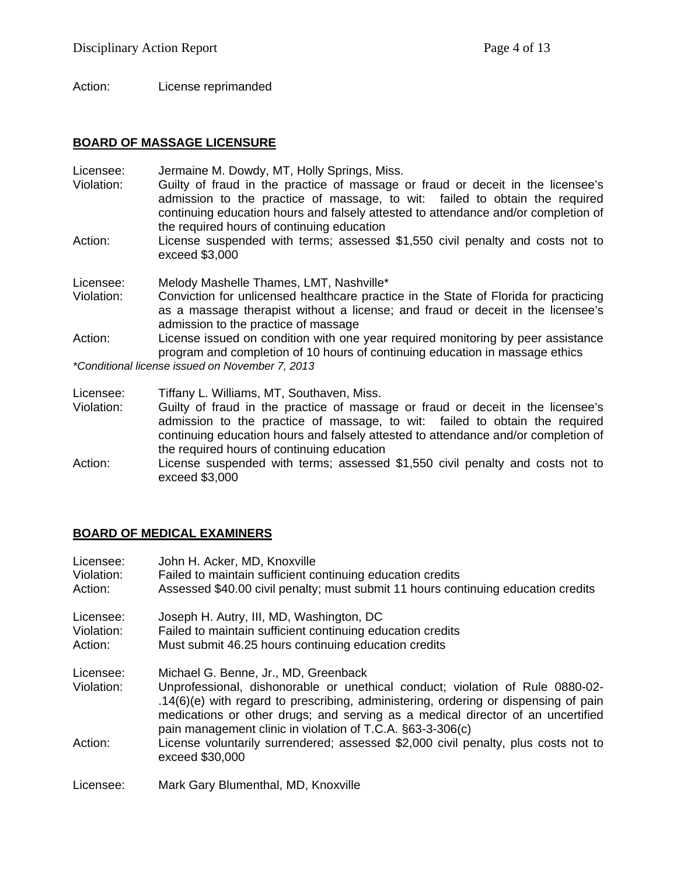Action: License reprimanded

#### **BOARD OF MASSAGE LICENSURE**

Licensee: Jermaine M. Dowdy, MT, Holly Springs, Miss.

- Violation: Guilty of fraud in the practice of massage or fraud or deceit in the licensee's admission to the practice of massage, to wit: failed to obtain the required continuing education hours and falsely attested to attendance and/or completion of the required hours of continuing education
- Action: License suspended with terms; assessed \$1,550 civil penalty and costs not to exceed \$3,000
- Licensee: Melody Mashelle Thames, LMT, Nashville\*
- Violation: Conviction for unlicensed healthcare practice in the State of Florida for practicing as a massage therapist without a license; and fraud or deceit in the licensee's admission to the practice of massage
- Action: License issued on condition with one year required monitoring by peer assistance program and completion of 10 hours of continuing education in massage ethics

*\*Conditional license issued on November 7, 2013*

- Licensee: Tiffany L. Williams, MT, Southaven, Miss.
- Violation: Guilty of fraud in the practice of massage or fraud or deceit in the licensee's admission to the practice of massage, to wit: failed to obtain the required continuing education hours and falsely attested to attendance and/or completion of the required hours of continuing education
- Action: License suspended with terms; assessed \$1,550 civil penalty and costs not to exceed \$3,000

### **BOARD OF MEDICAL EXAMINERS**

| Licensee:<br>Violation:<br>Action: | John H. Acker, MD, Knoxville<br>Failed to maintain sufficient continuing education credits<br>Assessed \$40.00 civil penalty; must submit 11 hours continuing education credits                                                                                                                                                                               |
|------------------------------------|---------------------------------------------------------------------------------------------------------------------------------------------------------------------------------------------------------------------------------------------------------------------------------------------------------------------------------------------------------------|
| Licensee:<br>Violation:<br>Action: | Joseph H. Autry, III, MD, Washington, DC<br>Failed to maintain sufficient continuing education credits<br>Must submit 46.25 hours continuing education credits                                                                                                                                                                                                |
| Licensee:<br>Violation:            | Michael G. Benne, Jr., MD, Greenback<br>Unprofessional, dishonorable or unethical conduct; violation of Rule 0880-02-<br>.14(6)(e) with regard to prescribing, administering, ordering or dispensing of pain<br>medications or other drugs; and serving as a medical director of an uncertified<br>pain management clinic in violation of T.C.A. §63-3-306(c) |
| Action:                            | License voluntarily surrendered; assessed \$2,000 civil penalty, plus costs not to<br>exceed \$30,000                                                                                                                                                                                                                                                         |
| Licensee:                          | Mark Gary Blumenthal, MD, Knoxville                                                                                                                                                                                                                                                                                                                           |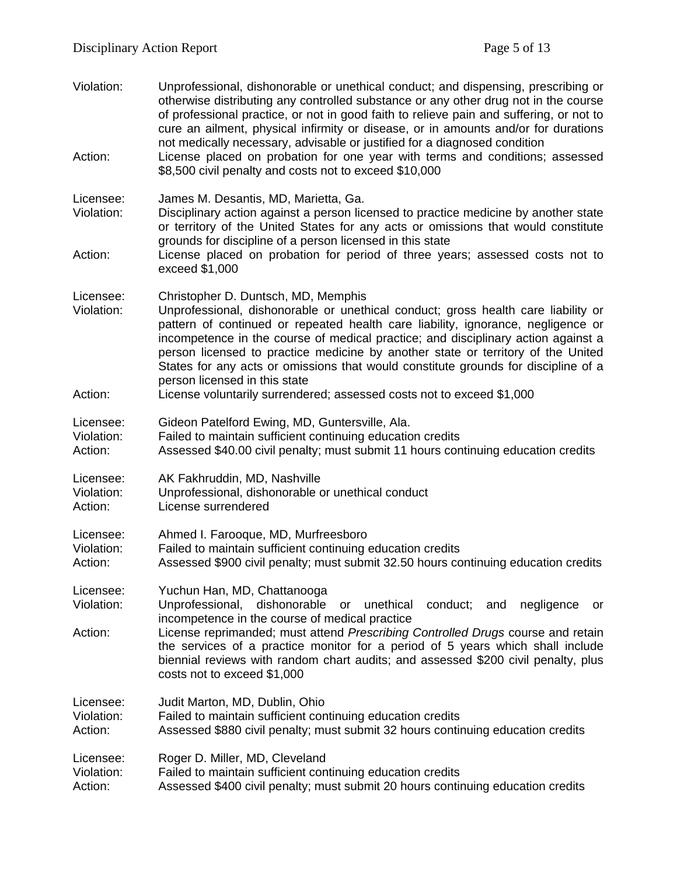Violation: Unprofessional, dishonorable or unethical conduct; and dispensing, prescribing or otherwise distributing any controlled substance or any other drug not in the course of professional practice, or not in good faith to relieve pain and suffering, or not to cure an ailment, physical infirmity or disease, or in amounts and/or for durations not medically necessary, advisable or justified for a diagnosed condition Action: License placed on probation for one year with terms and conditions; assessed \$8,500 civil penalty and costs not to exceed \$10,000 Licensee: James M. Desantis, MD, Marietta, Ga. Disciplinary action against a person licensed to practice medicine by another state or territory of the United States for any acts or omissions that would constitute grounds for discipline of a person licensed in this state Action: License placed on probation for period of three years; assessed costs not to exceed \$1,000 Licensee: Christopher D. Duntsch, MD, Memphis<br>Violation: Unprofessional. dishonorable or uneth Unprofessional, dishonorable or unethical conduct; gross health care liability or pattern of continued or repeated health care liability, ignorance, negligence or incompetence in the course of medical practice; and disciplinary action against a person licensed to practice medicine by another state or territory of the United States for any acts or omissions that would constitute grounds for discipline of a person licensed in this state Action: License voluntarily surrendered; assessed costs not to exceed \$1,000 Licensee: Gideon Patelford Ewing, MD, Guntersville, Ala. Violation: Failed to maintain sufficient continuing education credits Action: Assessed \$40.00 civil penalty; must submit 11 hours continuing education credits Licensee: AK Fakhruddin, MD, Nashville Violation: Unprofessional, dishonorable or unethical conduct Action: License surrendered Licensee: Ahmed I. Farooque, MD, Murfreesboro Violation: Failed to maintain sufficient continuing education credits Action: Assessed \$900 civil penalty; must submit 32.50 hours continuing education credits Licensee: Yuchun Han, MD, Chattanooga Violation: Unprofessional, dishonorable or unethical conduct; and negligence or incompetence in the course of medical practice Action: License reprimanded; must attend *Prescribing Controlled Drugs* course and retain the services of a practice monitor for a period of 5 years which shall include biennial reviews with random chart audits; and assessed \$200 civil penalty, plus costs not to exceed \$1,000 Licensee: Judit Marton, MD, Dublin, Ohio Violation: Failed to maintain sufficient continuing education credits<br>Action: Assessed \$880 civil penalty: must submit 32 hours contin Assessed \$880 civil penalty; must submit 32 hours continuing education credits Licensee: Roger D. Miller, MD, Cleveland Violation: Failed to maintain sufficient continuing education credits Action: Assessed \$400 civil penalty; must submit 20 hours continuing education credits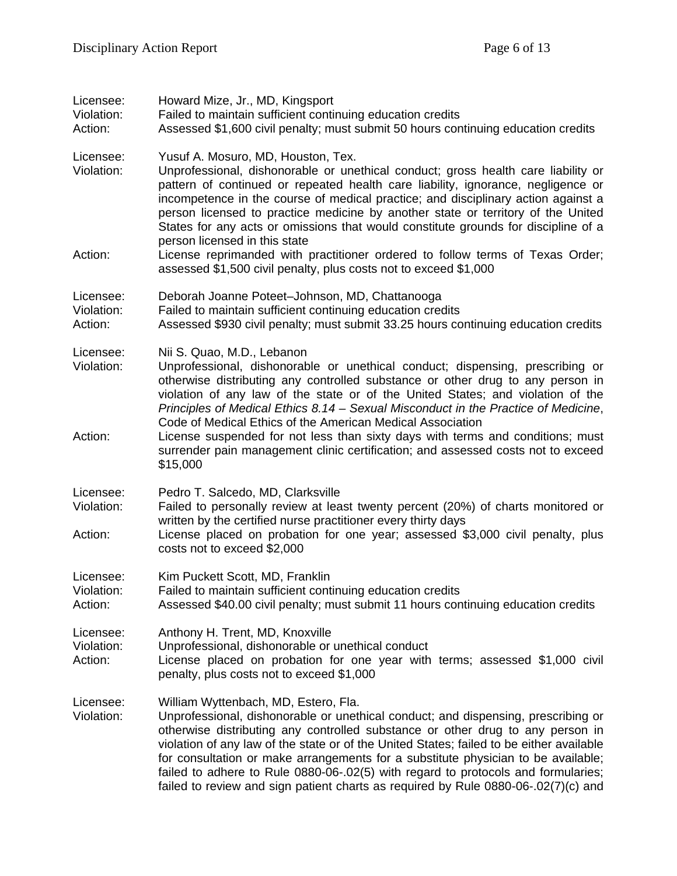| Licensee:<br>Violation:<br>Action: | Howard Mize, Jr., MD, Kingsport<br>Failed to maintain sufficient continuing education credits<br>Assessed \$1,600 civil penalty; must submit 50 hours continuing education credits                                                                                                                                                                                                                                                                                                                                                                                                           |
|------------------------------------|----------------------------------------------------------------------------------------------------------------------------------------------------------------------------------------------------------------------------------------------------------------------------------------------------------------------------------------------------------------------------------------------------------------------------------------------------------------------------------------------------------------------------------------------------------------------------------------------|
| Licensee:<br>Violation:<br>Action: | Yusuf A. Mosuro, MD, Houston, Tex.<br>Unprofessional, dishonorable or unethical conduct; gross health care liability or<br>pattern of continued or repeated health care liability, ignorance, negligence or<br>incompetence in the course of medical practice; and disciplinary action against a<br>person licensed to practice medicine by another state or territory of the United<br>States for any acts or omissions that would constitute grounds for discipline of a<br>person licensed in this state<br>License reprimanded with practitioner ordered to follow terms of Texas Order; |
|                                    | assessed \$1,500 civil penalty, plus costs not to exceed \$1,000                                                                                                                                                                                                                                                                                                                                                                                                                                                                                                                             |
| Licensee:<br>Violation:<br>Action: | Deborah Joanne Poteet-Johnson, MD, Chattanooga<br>Failed to maintain sufficient continuing education credits<br>Assessed \$930 civil penalty; must submit 33.25 hours continuing education credits                                                                                                                                                                                                                                                                                                                                                                                           |
| Licensee:<br>Violation:            | Nii S. Quao, M.D., Lebanon<br>Unprofessional, dishonorable or unethical conduct; dispensing, prescribing or<br>otherwise distributing any controlled substance or other drug to any person in<br>violation of any law of the state or of the United States; and violation of the<br>Principles of Medical Ethics 8.14 – Sexual Misconduct in the Practice of Medicine,<br>Code of Medical Ethics of the American Medical Association                                                                                                                                                         |
| Action:                            | License suspended for not less than sixty days with terms and conditions; must<br>surrender pain management clinic certification; and assessed costs not to exceed<br>\$15,000                                                                                                                                                                                                                                                                                                                                                                                                               |
| Licensee:<br>Violation:<br>Action: | Pedro T. Salcedo, MD, Clarksville<br>Failed to personally review at least twenty percent (20%) of charts monitored or<br>written by the certified nurse practitioner every thirty days<br>License placed on probation for one year; assessed \$3,000 civil penalty, plus<br>costs not to exceed \$2,000                                                                                                                                                                                                                                                                                      |
| Licensee:<br>Violation:<br>Action: | Kim Puckett Scott, MD, Franklin<br>Failed to maintain sufficient continuing education credits<br>Assessed \$40.00 civil penalty; must submit 11 hours continuing education credits                                                                                                                                                                                                                                                                                                                                                                                                           |
| Licensee:<br>Violation:<br>Action: | Anthony H. Trent, MD, Knoxville<br>Unprofessional, dishonorable or unethical conduct<br>License placed on probation for one year with terms; assessed \$1,000 civil<br>penalty, plus costs not to exceed \$1,000                                                                                                                                                                                                                                                                                                                                                                             |
| Licensee:<br>Violation:            | William Wyttenbach, MD, Estero, Fla.<br>Unprofessional, dishonorable or unethical conduct; and dispensing, prescribing or<br>otherwise distributing any controlled substance or other drug to any person in<br>violation of any law of the state or of the United States; failed to be either available<br>for consultation or make arrangements for a substitute physician to be available;<br>failed to adhere to Rule 0880-06-.02(5) with regard to protocols and formularies;<br>failed to review and sign patient charts as required by Rule 0880-06-.02(7)(c) and                      |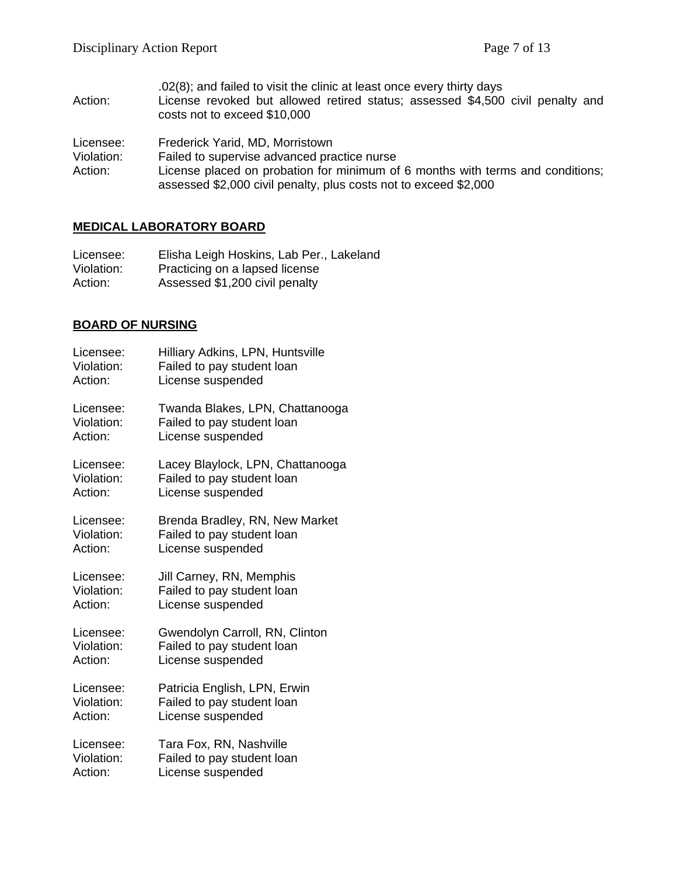.02(8); and failed to visit the clinic at least once every thirty days Action: License revoked but allowed retired status; assessed \$4,500 civil penalty and costs not to exceed \$10,000

Licensee: Frederick Yarid, MD, Morristown

- Violation: Failed to supervise advanced practice nurse<br>Action: License placed on probation for minimum of
- License placed on probation for minimum of 6 months with terms and conditions; assessed \$2,000 civil penalty, plus costs not to exceed \$2,000

#### **MEDICAL LABORATORY BOARD**

| Licensee:  | Elisha Leigh Hoskins, Lab Per., Lakeland |
|------------|------------------------------------------|
| Violation: | Practicing on a lapsed license           |
| Action:    | Assessed \$1,200 civil penalty           |

#### **BOARD OF NURSING**

| Licensee:  | Hilliary Adkins, LPN, Huntsville |
|------------|----------------------------------|
| Violation: | Failed to pay student loan       |
| Action:    | License suspended                |
| Licensee:  | Twanda Blakes, LPN, Chattanooga  |
| Violation: | Failed to pay student loan       |
| Action:    | License suspended                |
| Licensee:  | Lacey Blaylock, LPN, Chattanooga |
| Violation: | Failed to pay student loan       |
| Action:    | License suspended                |
| Licensee:  | Brenda Bradley, RN, New Market   |
| Violation: | Failed to pay student loan       |
| Action:    | License suspended                |
| Licensee:  | Jill Carney, RN, Memphis         |
| Violation: | Failed to pay student loan       |
| Action:    | License suspended                |
| Licensee:  | Gwendolyn Carroll, RN, Clinton   |
| Violation: | Failed to pay student loan       |
| Action:    | License suspended                |
| Licensee:  | Patricia English, LPN, Erwin     |
| Violation: | Failed to pay student loan       |
| Action:    | License suspended                |
| Licensee:  | Tara Fox, RN, Nashville          |
| Violation: | Failed to pay student loan       |
| Action:    | License suspended                |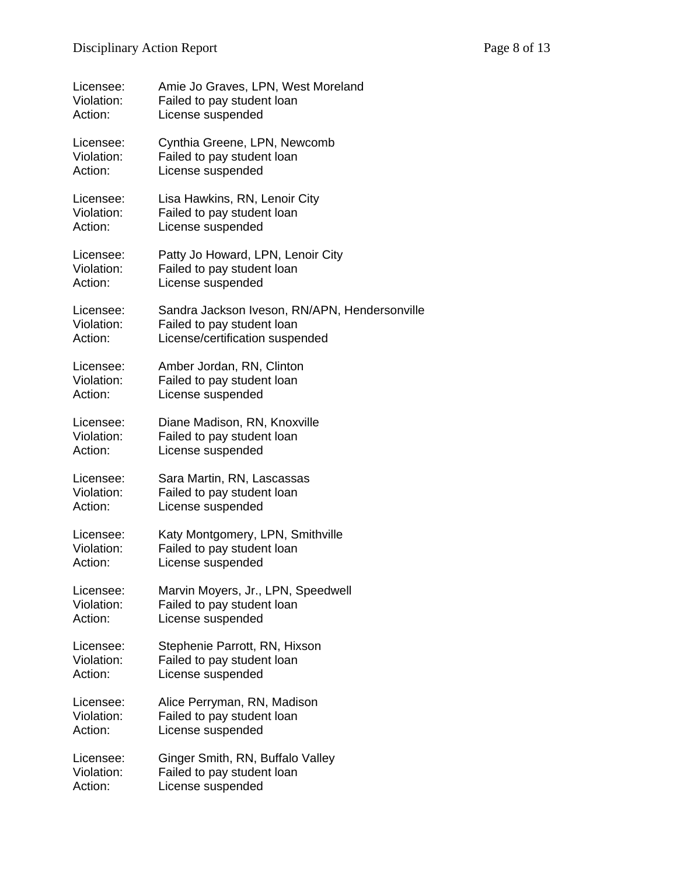| Licensee:  | Amie Jo Graves, LPN, West Moreland            |
|------------|-----------------------------------------------|
| Violation: | Failed to pay student loan                    |
| Action:    | License suspended                             |
| Licensee:  | Cynthia Greene, LPN, Newcomb                  |
| Violation: | Failed to pay student loan                    |
| Action:    | License suspended                             |
| Licensee:  | Lisa Hawkins, RN, Lenoir City                 |
| Violation: | Failed to pay student loan                    |
| Action:    | License suspended                             |
| Licensee:  | Patty Jo Howard, LPN, Lenoir City             |
| Violation: | Failed to pay student loan                    |
| Action:    | License suspended                             |
| Licensee:  | Sandra Jackson Iveson, RN/APN, Hendersonville |
| Violation: | Failed to pay student loan                    |
| Action:    | License/certification suspended               |
| Licensee:  | Amber Jordan, RN, Clinton                     |
| Violation: | Failed to pay student loan                    |
| Action:    | License suspended                             |
| Licensee:  | Diane Madison, RN, Knoxville                  |
| Violation: | Failed to pay student loan                    |
| Action:    | License suspended                             |
| Licensee:  | Sara Martin, RN, Lascassas                    |
| Violation: | Failed to pay student loan                    |
| Action:    | License suspended                             |
| Licensee:  | Katy Montgomery, LPN, Smithville              |
| Violation: | Failed to pay student loan                    |
| Action:    | License suspended                             |
| Licensee:  | Marvin Moyers, Jr., LPN, Speedwell            |
| Violation: | Failed to pay student loan                    |
| Action:    | License suspended                             |
| Licensee:  | Stephenie Parrott, RN, Hixson                 |
| Violation: | Failed to pay student loan                    |
| Action:    | License suspended                             |
| Licensee:  | Alice Perryman, RN, Madison                   |
| Violation: | Failed to pay student loan                    |
| Action:    | License suspended                             |
| Licensee:  | Ginger Smith, RN, Buffalo Valley              |
| Violation: | Failed to pay student loan                    |
| Action:    | License suspended                             |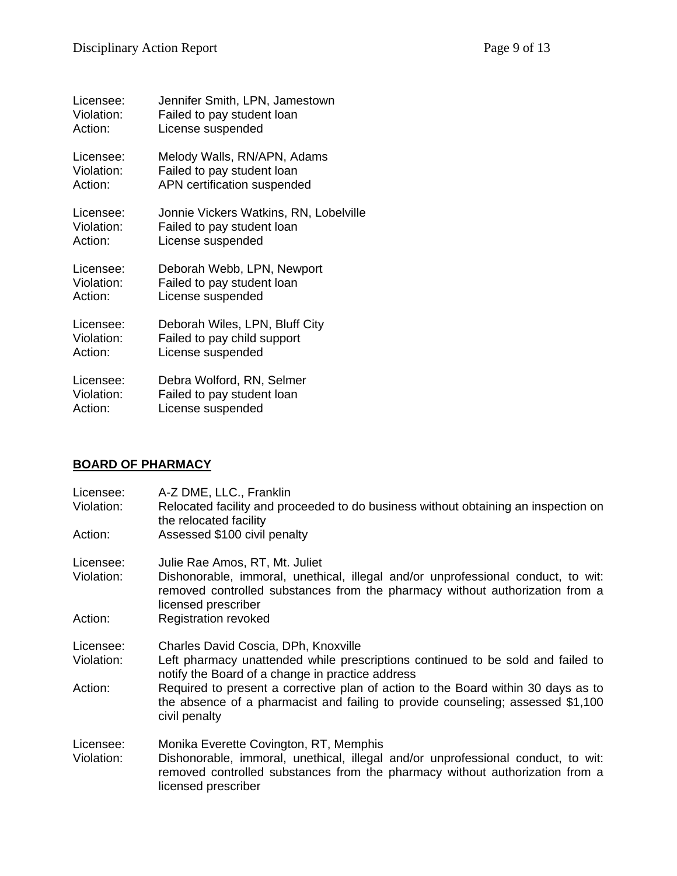| Licensee:  | Jennifer Smith, LPN, Jamestown         |
|------------|----------------------------------------|
| Violation: | Failed to pay student loan             |
| Action:    | License suspended                      |
| Licensee:  | Melody Walls, RN/APN, Adams            |
| Violation: | Failed to pay student loan             |
| Action:    | APN certification suspended            |
| Licensee:  | Jonnie Vickers Watkins, RN, Lobelville |
| Violation: | Failed to pay student loan             |
| Action:    | License suspended                      |
| Licensee:  | Deborah Webb, LPN, Newport             |
| Violation: | Failed to pay student loan             |
| Action:    | License suspended                      |
| Licensee:  | Deborah Wiles, LPN, Bluff City         |
| Violation: | Failed to pay child support            |
| Action:    | License suspended                      |
| Licensee:  | Debra Wolford, RN, Selmer              |
| Violation: | Failed to pay student loan             |
| Action:    | License suspended                      |

# **BOARD OF PHARMACY**

| Licensee:<br>Violation: | A-Z DME, LLC., Franklin<br>Relocated facility and proceeded to do business without obtaining an inspection on<br>the relocated facility                                                                                           |
|-------------------------|-----------------------------------------------------------------------------------------------------------------------------------------------------------------------------------------------------------------------------------|
| Action:                 | Assessed \$100 civil penalty                                                                                                                                                                                                      |
| Licensee:<br>Violation: | Julie Rae Amos, RT, Mt. Juliet<br>Dishonorable, immoral, unethical, illegal and/or unprofessional conduct, to wit:<br>removed controlled substances from the pharmacy without authorization from a<br>licensed prescriber         |
| Action:                 | <b>Registration revoked</b>                                                                                                                                                                                                       |
| Licensee:<br>Violation: | Charles David Coscia, DPh, Knoxville<br>Left pharmacy unattended while prescriptions continued to be sold and failed to<br>notify the Board of a change in practice address                                                       |
| Action:                 | Required to present a corrective plan of action to the Board within 30 days as to<br>the absence of a pharmacist and failing to provide counseling; assessed \$1,100<br>civil penalty                                             |
| Licensee:<br>Violation: | Monika Everette Covington, RT, Memphis<br>Dishonorable, immoral, unethical, illegal and/or unprofessional conduct, to wit:<br>removed controlled substances from the pharmacy without authorization from a<br>licensed prescriber |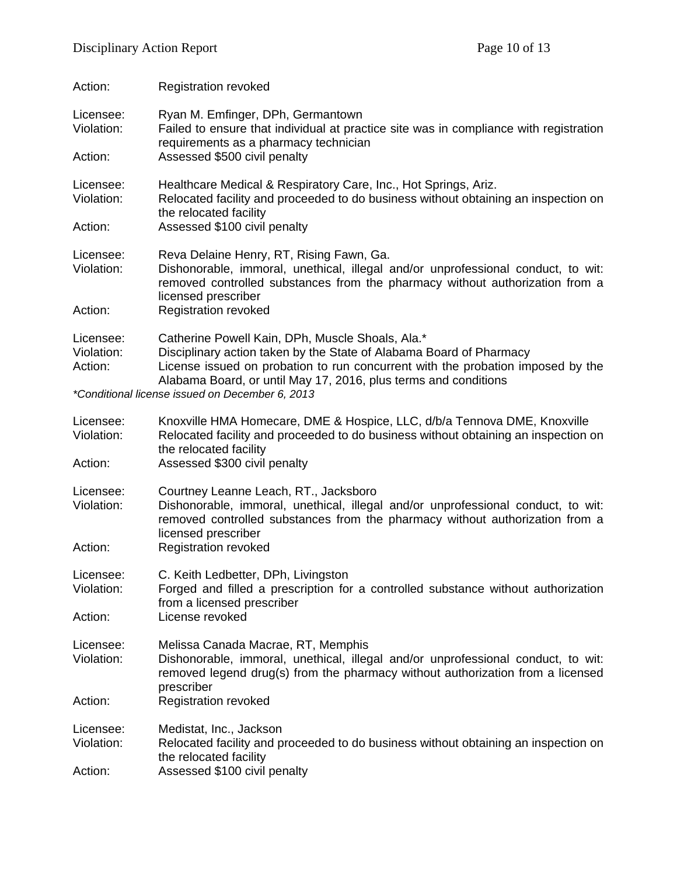| Action:                            | <b>Registration revoked</b>                                                                                                                                                                                                                                                                                                      |
|------------------------------------|----------------------------------------------------------------------------------------------------------------------------------------------------------------------------------------------------------------------------------------------------------------------------------------------------------------------------------|
| Licensee:<br>Violation:<br>Action: | Ryan M. Emfinger, DPh, Germantown<br>Failed to ensure that individual at practice site was in compliance with registration<br>requirements as a pharmacy technician<br>Assessed \$500 civil penalty                                                                                                                              |
| Licensee:<br>Violation:<br>Action: | Healthcare Medical & Respiratory Care, Inc., Hot Springs, Ariz.<br>Relocated facility and proceeded to do business without obtaining an inspection on<br>the relocated facility<br>Assessed \$100 civil penalty                                                                                                                  |
| Licensee:<br>Violation:<br>Action: | Reva Delaine Henry, RT, Rising Fawn, Ga.<br>Dishonorable, immoral, unethical, illegal and/or unprofessional conduct, to wit:<br>removed controlled substances from the pharmacy without authorization from a<br>licensed prescriber<br><b>Registration revoked</b>                                                               |
| Licensee:<br>Violation:<br>Action: | Catherine Powell Kain, DPh, Muscle Shoals, Ala.*<br>Disciplinary action taken by the State of Alabama Board of Pharmacy<br>License issued on probation to run concurrent with the probation imposed by the<br>Alabama Board, or until May 17, 2016, plus terms and conditions<br>*Conditional license issued on December 6, 2013 |
| Licensee:<br>Violation:<br>Action: | Knoxville HMA Homecare, DME & Hospice, LLC, d/b/a Tennova DME, Knoxville<br>Relocated facility and proceeded to do business without obtaining an inspection on<br>the relocated facility<br>Assessed \$300 civil penalty                                                                                                         |
| Licensee:<br>Violation:<br>Action: | Courtney Leanne Leach, RT., Jacksboro<br>Dishonorable, immoral, unethical, illegal and/or unprofessional conduct, to wit:<br>removed controlled substances from the pharmacy without authorization from a<br>licensed prescriber<br><b>Registration revoked</b>                                                                  |
| Licensee:<br>Violation:<br>Action: | C. Keith Ledbetter, DPh, Livingston<br>Forged and filled a prescription for a controlled substance without authorization<br>from a licensed prescriber<br>License revoked                                                                                                                                                        |
| Licensee:<br>Violation:<br>Action: | Melissa Canada Macrae, RT, Memphis<br>Dishonorable, immoral, unethical, illegal and/or unprofessional conduct, to wit:<br>removed legend drug(s) from the pharmacy without authorization from a licensed<br>prescriber<br><b>Registration revoked</b>                                                                            |
| Licensee:<br>Violation:<br>Action: | Medistat, Inc., Jackson<br>Relocated facility and proceeded to do business without obtaining an inspection on<br>the relocated facility<br>Assessed \$100 civil penalty                                                                                                                                                          |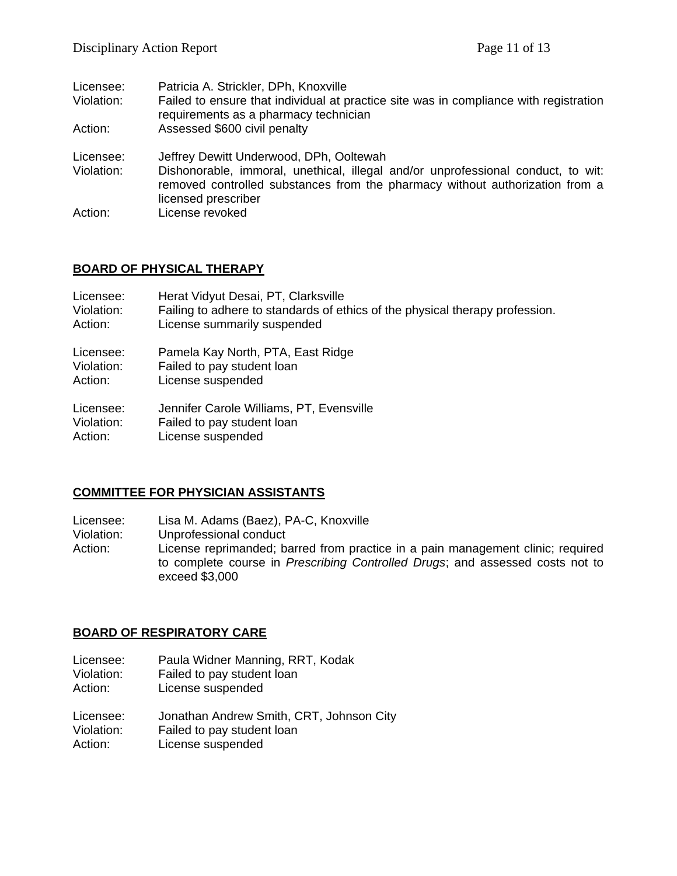| Licensee:<br>Violation:<br>Action: | Patricia A. Strickler, DPh, Knoxville<br>Failed to ensure that individual at practice site was in compliance with registration<br>requirements as a pharmacy technician<br>Assessed \$600 civil penalty     |
|------------------------------------|-------------------------------------------------------------------------------------------------------------------------------------------------------------------------------------------------------------|
| Licensee:<br>Violation:            | Jeffrey Dewitt Underwood, DPh, Ooltewah<br>Dishonorable, immoral, unethical, illegal and/or unprofessional conduct, to wit:<br>removed controlled substances from the pharmacy without authorization from a |
| Action:                            | licensed prescriber<br>License revoked                                                                                                                                                                      |

#### **BOARD OF PHYSICAL THERAPY**

| Licensee:  | Herat Vidyut Desai, PT, Clarksville                                          |
|------------|------------------------------------------------------------------------------|
| Violation: | Failing to adhere to standards of ethics of the physical therapy profession. |
| Action:    | License summarily suspended                                                  |
| Licensee:  | Pamela Kay North, PTA, East Ridge                                            |
| Violation: | Failed to pay student loan                                                   |
| Action:    | License suspended                                                            |
| Licensee:  | Jennifer Carole Williams, PT, Evensville                                     |
| Violation: | Failed to pay student loan                                                   |
| Action:    | License suspended                                                            |

#### **COMMITTEE FOR PHYSICIAN ASSISTANTS**

Licensee: Lisa M. Adams (Baez), PA-C, Knoxville

Violation: Unprofessional conduct<br>Action: License reprimanded; ba

License reprimanded; barred from practice in a pain management clinic; required to complete course in *Prescribing Controlled Drugs*; and assessed costs not to exceed \$3,000

#### **BOARD OF RESPIRATORY CARE**

Licensee: Paula Widner Manning, RRT, Kodak

Violation: Failed to pay student loan<br>Action: License suspended License suspended

Licensee: Jonathan Andrew Smith, CRT, Johnson City<br>Violation: Failed to pay student loan Violation: Failed to pay student loan<br>Action: License suspended

License suspended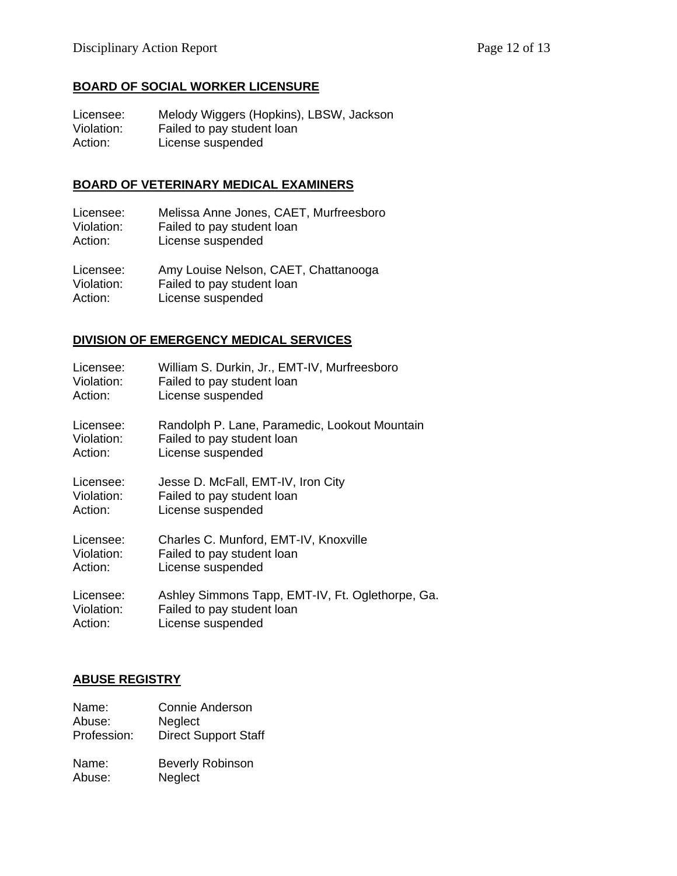## **BOARD OF SOCIAL WORKER LICENSURE**

Licensee: Melody Wiggers (Hopkins), LBSW, Jackson<br>Violation: Failed to pay student loan Violation: Failed to pay student loan<br>Action: License suspended License suspended

#### **BOARD OF VETERINARY MEDICAL EXAMINERS**

Licensee: Melissa Anne Jones, CAET, Murfreesboro<br>Violation: Failed to pay student loan Failed to pay student loan Action: License suspended

Licensee: Amy Louise Nelson, CAET, Chattanooga Violation: Failed to pay student loan Action: License suspended

### **DIVISION OF EMERGENCY MEDICAL SERVICES**

| Licensee:  | William S. Durkin, Jr., EMT-IV, Murfreesboro     |
|------------|--------------------------------------------------|
| Violation: | Failed to pay student loan                       |
| Action:    | License suspended                                |
| Licensee:  | Randolph P. Lane, Paramedic, Lookout Mountain    |
| Violation: | Failed to pay student loan                       |
| Action:    | License suspended                                |
| Licensee:  | Jesse D. McFall, EMT-IV, Iron City               |
| Violation: | Failed to pay student loan                       |
| Action:    | License suspended                                |
| Licensee:  | Charles C. Munford, EMT-IV, Knoxville            |
| Violation: | Failed to pay student loan                       |
| Action:    | License suspended                                |
| Licensee:  | Ashley Simmons Tapp, EMT-IV, Ft. Oglethorpe, Ga. |
| Violation: | Failed to pay student loan                       |
| Action:    | License suspended                                |

#### **ABUSE REGISTRY**

| Name:       | Connie Anderson             |
|-------------|-----------------------------|
| Abuse:      | <b>Neglect</b>              |
| Profession: | <b>Direct Support Staff</b> |
| Name:       | <b>Beverly Robinson</b>     |
| Abuse:      | Neglect                     |